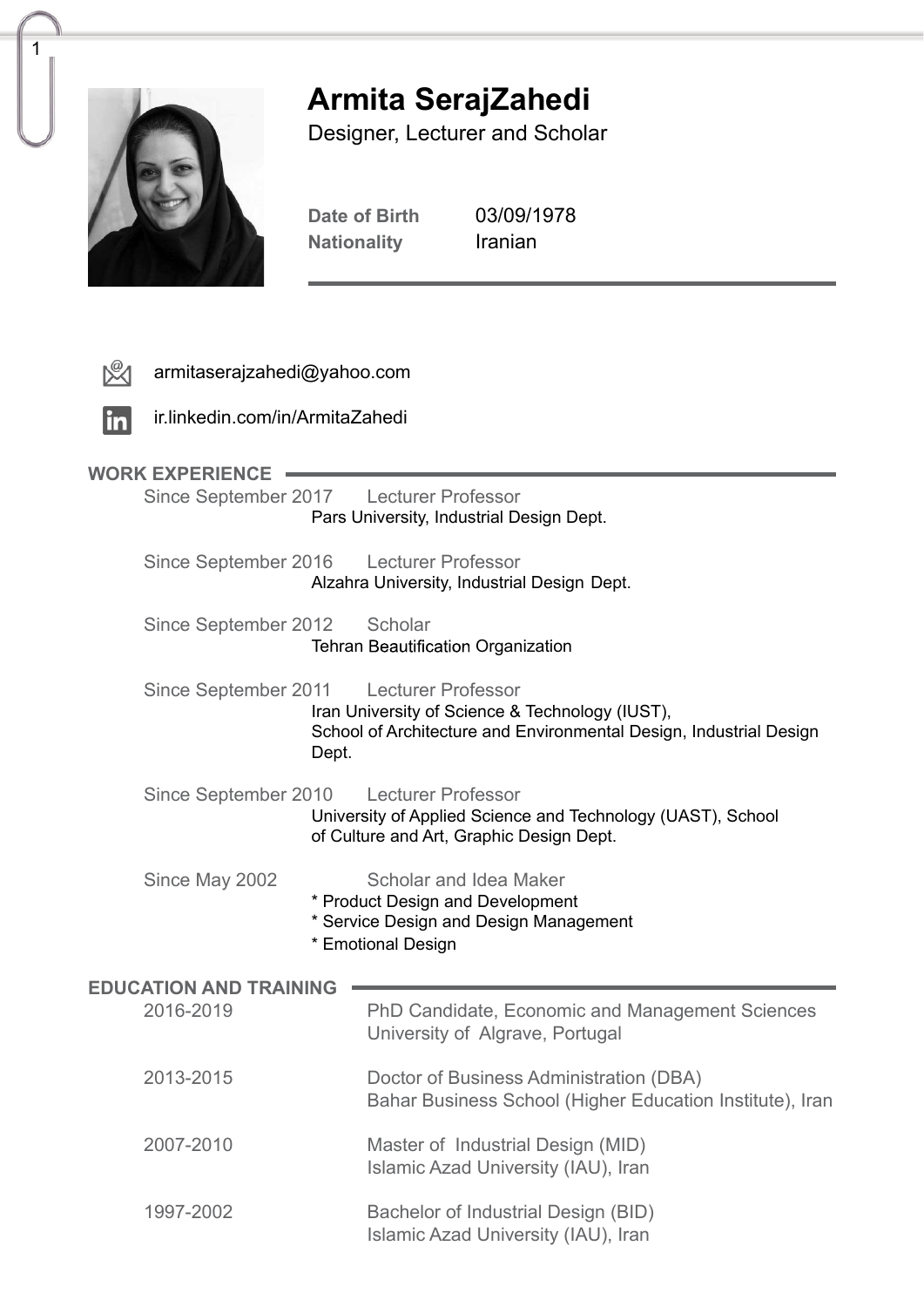

1

# **SerajZahedi Armita**

Designer, Lecturer and Scholar

Date of Birth 03/09/1978<br>Nationality Iranian **Nationality** 

|                               | armitaserajzahedi@yahoo.com                                                                                                                                                                                                                                                                                                                                                                                                                                                                         |                                                                                        |                                                                                                     |  |
|-------------------------------|-----------------------------------------------------------------------------------------------------------------------------------------------------------------------------------------------------------------------------------------------------------------------------------------------------------------------------------------------------------------------------------------------------------------------------------------------------------------------------------------------------|----------------------------------------------------------------------------------------|-----------------------------------------------------------------------------------------------------|--|
| <u>in</u>                     | ir.linkedin.com/in/ArmitaZahedi                                                                                                                                                                                                                                                                                                                                                                                                                                                                     |                                                                                        |                                                                                                     |  |
| <b>WORK EXPERIENCE</b>        |                                                                                                                                                                                                                                                                                                                                                                                                                                                                                                     |                                                                                        |                                                                                                     |  |
|                               | Since September 2017                                                                                                                                                                                                                                                                                                                                                                                                                                                                                |                                                                                        | <b>Lecturer Professor</b><br>Pars University, Industrial Design Dept.                               |  |
|                               |                                                                                                                                                                                                                                                                                                                                                                                                                                                                                                     | Since September 2016 Lecturer Professor<br>Alzahra University, Industrial Design Dept. |                                                                                                     |  |
|                               |                                                                                                                                                                                                                                                                                                                                                                                                                                                                                                     | Since September 2012<br>Scholar<br><b>Tehran Beautification Organization</b>           |                                                                                                     |  |
|                               | Since September 2011<br><b>Lecturer Professor</b><br>Iran University of Science & Technology (IUST),<br>School of Architecture and Environmental Design, Industrial Design<br>Dept.<br><b>Lecturer Professor</b><br>Since September 2010<br>University of Applied Science and Technology (UAST), School<br>of Culture and Art, Graphic Design Dept.<br>Since May 2002<br>Scholar and Idea Maker<br>* Product Design and Development<br>* Service Design and Design Management<br>* Emotional Design |                                                                                        |                                                                                                     |  |
|                               |                                                                                                                                                                                                                                                                                                                                                                                                                                                                                                     |                                                                                        |                                                                                                     |  |
|                               |                                                                                                                                                                                                                                                                                                                                                                                                                                                                                                     |                                                                                        |                                                                                                     |  |
| <b>EDUCATION AND TRAINING</b> |                                                                                                                                                                                                                                                                                                                                                                                                                                                                                                     |                                                                                        |                                                                                                     |  |
|                               | 2016-2019                                                                                                                                                                                                                                                                                                                                                                                                                                                                                           |                                                                                        | PhD Candidate, Economic and Management Sciences<br>University of Algrave, Portugal                  |  |
|                               | 2013-2015                                                                                                                                                                                                                                                                                                                                                                                                                                                                                           |                                                                                        | Doctor of Business Administration (DBA)<br>Bahar Business School (Higher Education Institute), Iran |  |
|                               | 2007-2010                                                                                                                                                                                                                                                                                                                                                                                                                                                                                           |                                                                                        | Master of Industrial Design (MID)<br>Islamic Azad University (IAU), Iran                            |  |
|                               | 1997-2002                                                                                                                                                                                                                                                                                                                                                                                                                                                                                           |                                                                                        | Bachelor of Industrial Design (BID)<br>Islamic Azad University (IAU), Iran                          |  |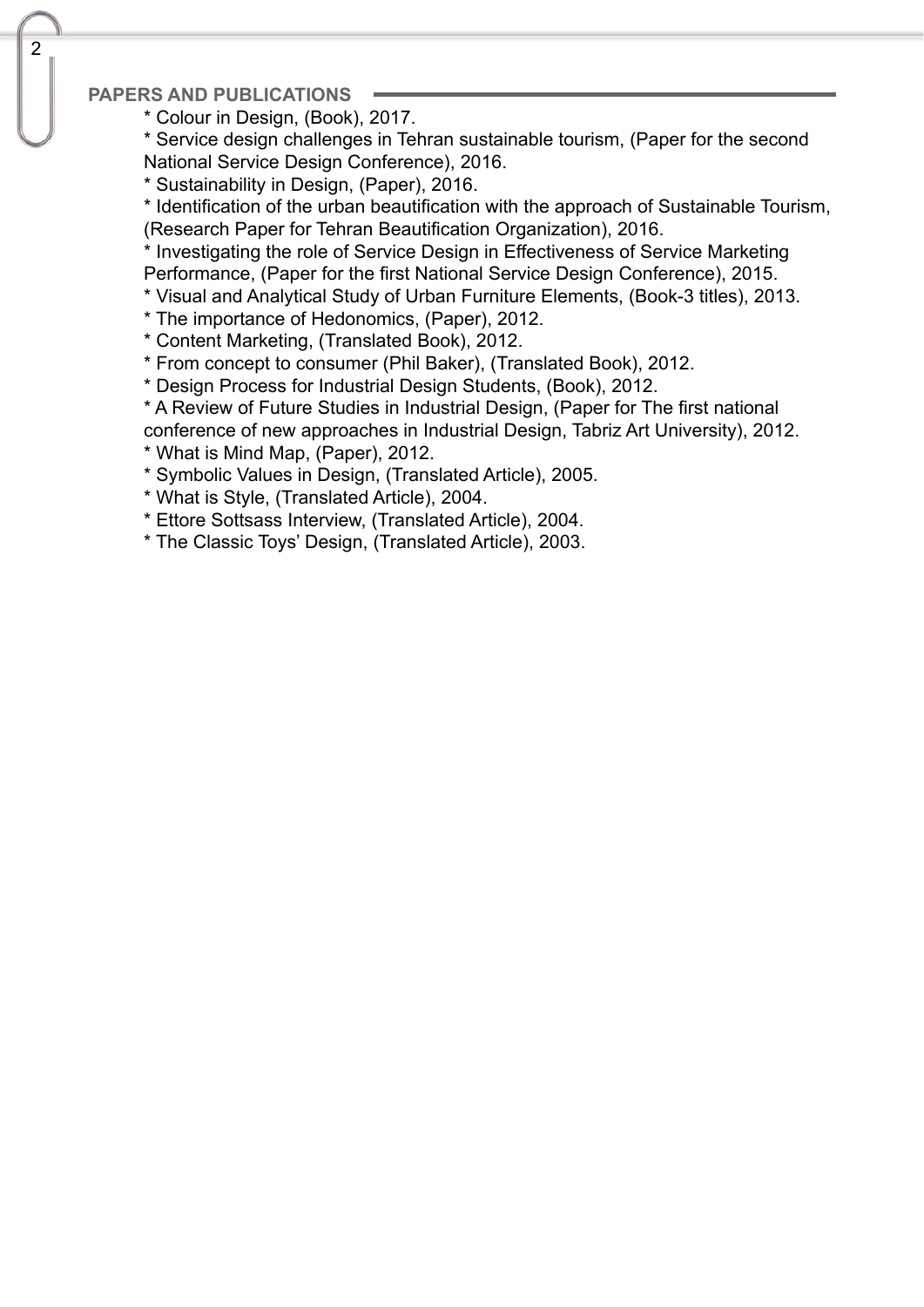### **PAPERS AND PUBLICATIONS**

- \* Colour in Design, (Book), 2017.
- \* Service design challenges in Tehran sustainable tourism, (Paper for the second National Service Design Conference), 2016.
- \* Sustainability in Design, (Paper), 2016.

\* Identification of the urban beautification with the approach of Sustainable Tourism, (Research Paper for Tehran Beautification Organization), 2016.

\* Investigating the role of Service Design in Effectiveness of Service Marketing Performance, (Paper for the first National Service Design Conference), 2015.

\* Visual and Analytical Study of Urban Furniture Elements, (Book-3 titles), 2013.

- \* The importance of Hedonomics. (Paper), 2012.
- \* Content Marketing, (Translated Book), 2012.

\* From concept to consumer (Phil Baker), (Translated Book), 2012.

- \* Design Process for Industrial Design Students, (Book), 2012.
- \* A Review of Future Studies in Industrial Design, (Paper for The first national conference of new approaches in Industrial Design, Tabriz Art University), 2012.
- $*$  What is Mind Map, (Paper), 2012.
- \* Symbolic Values in Design, (Translated Article), 2005.
- \* What is Style, (Translated Article), 2004.
- \* Ettore Sottsass Interview, (Translated Article), 2004.
- \* The Classic Toys' Design, (Translated Article), 2003.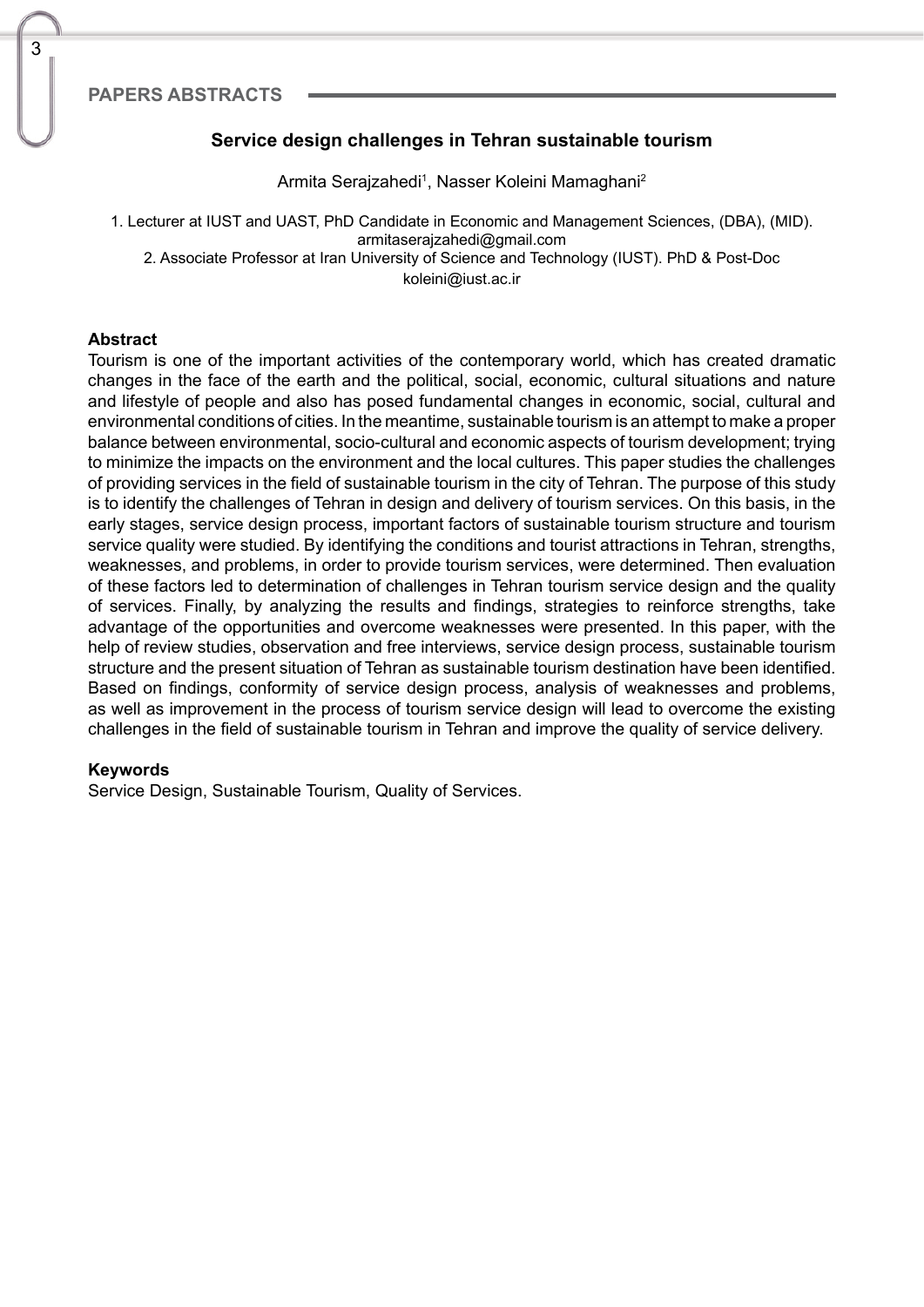# **Service design challenges in Tehran sustainable tourism**

Armita Serajzahedi<sup>1</sup>, Nasser Koleini Mamaghani<sup>2</sup>

1. Lecturer at IUST and UAST, PhD Candidate in Economic and Management Sciences, (DBA), (MID). armitaserajzahedi@gmail.com 2. Associate Professor at Iran University of Science and Technology (IUST). PhD & Post-Doc koleini@iust.ac.ir

#### **Abstract**

3

Tourism is one of the important activities of the contemporary world, which has created dramatic changes in the face of the earth and the political, social, economic, cultural situations and nature and lifestyle of people and also has posed fundamental changes in economic, social, cultural and environmental conditions of cities. In the meantime, sustainable tourism is an attempt to make a proper balance between environmental, socio-cultural and economic aspects of tourism development; trying to minimize the impacts on the environment and the local cultures. This paper studies the challenges of providing services in the field of sustainable tourism in the city of Tehran. The purpose of this study is to identify the challenges of Tehran in design and delivery of tourism services. On this basis, in the early stages, service design process, important factors of sustainable tourism structure and tourism service quality were studied. By identifying the conditions and tourist attractions in Tehran, strengths, weaknesses, and problems, in order to provide tourism services, were determined. Then evaluation of these factors led to determination of challenges in Tehran tourism service design and the quality of services. Finally, by analyzing the results and findings, strategies to reinforce strengths, take advantage of the opportunities and overcome weaknesses were presented. In this paper, with the help of review studies, observation and free interviews, service design process, sustainable tourism structure and the present situation of Tehran as sustainable tourism destination have been identified. Based on findings, conformity of service design process, analysis of weaknesses and problems, as well as improvement in the process of tourism service design will lead to overcome the existing challenges in the field of sustainable tourism in Tehran and improve the quality of service delivery.

#### **Keywords**

Service Design, Sustainable Tourism, Quality of Services.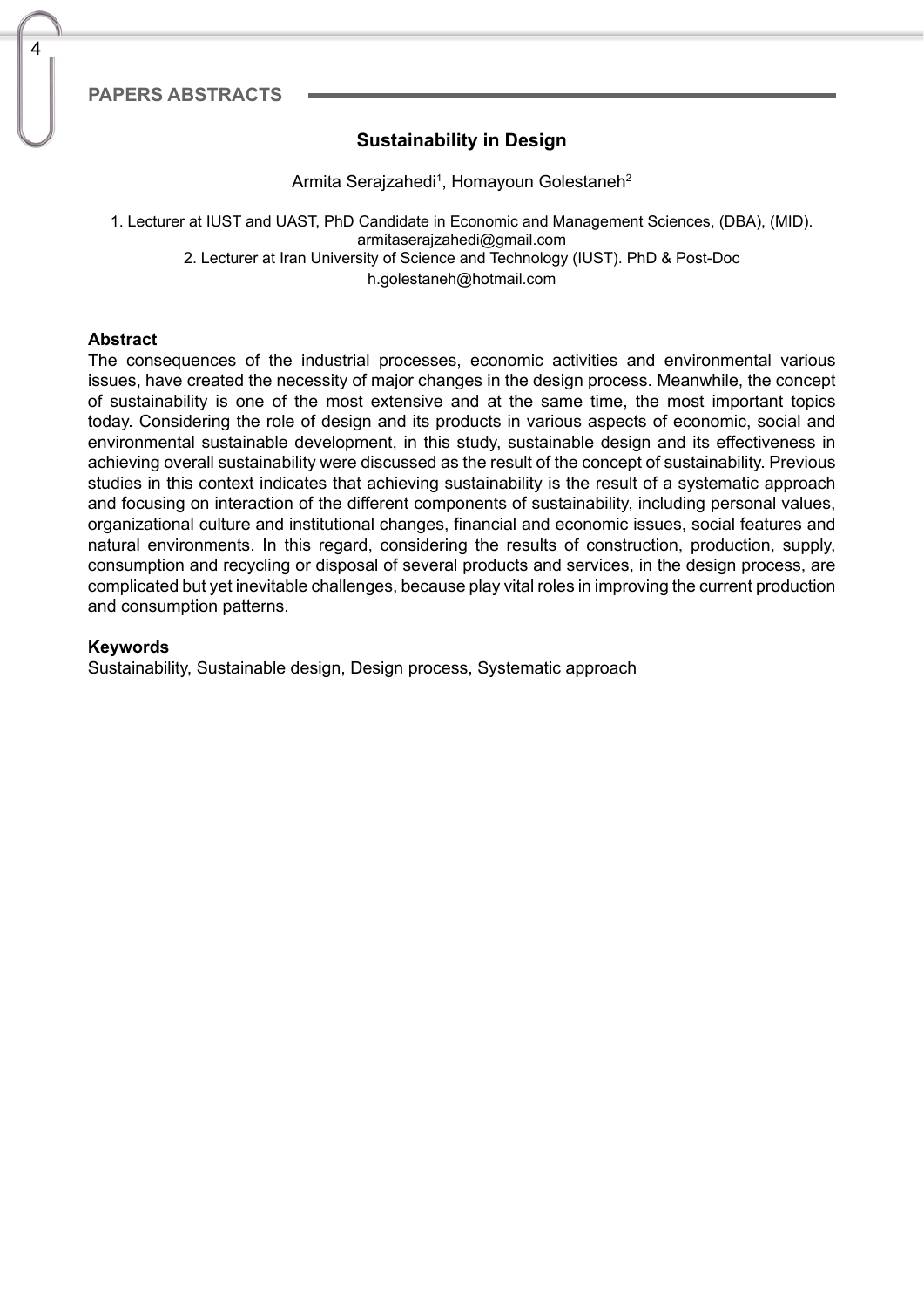# **Sustainability in Design**

Armita Serajzahedi<sup>1</sup>, Homayoun Golestaneh<sup>2</sup>

1. Lecturer at IUST and UAST, PhD Candidate in Economic and Management Sciences, (DBA), (MID). armitaserajzahedi@gmail.com 2. Lecturer at Iran University of Science and Technology (IUST). PhD & Post-Doc h.golestaneh@hotmail.com

#### **Abstract**

4

The consequences of the industrial processes, economic activities and environmental various issues, have created the necessity of major changes in the design process. Meanwhile, the concept of sustainability is one of the most extensive and at the same time, the most important topics today. Considering the role of design and its products in various aspects of economic, social and environmental sustainable development, in this study, sustainable design and its effectiveness in achieving overall sustainability were discussed as the result of the concept of sustainability. Previous studies in this context indicates that achieving sustainability is the result of a systematic approach and focusing on interaction of the different components of sustainability, including personal values, organizational culture and institutional changes, financial and economic issues, social features and natural environments. In this regard, considering the results of construction, production, supply, consumption and recycling or disposal of several products and services, in the design process, are complicated but yet inevitable challenges, because play vital roles in improving the current production and consumption patterns.

#### **Keywords**

Sustainability, Sustainable design, Design process, Systematic approach